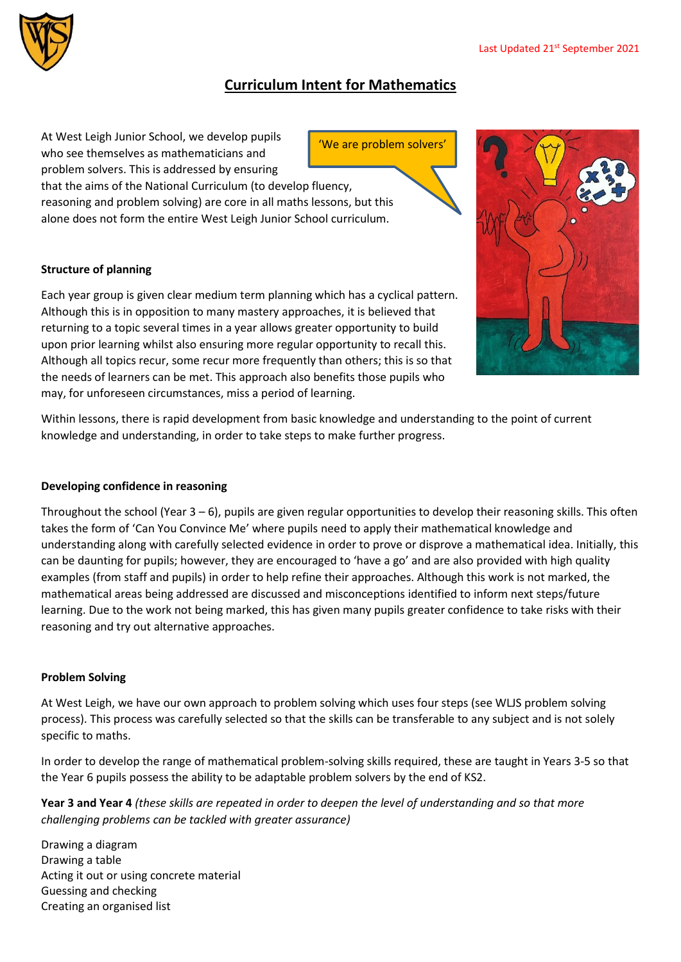

# **Curriculum Intent for Mathematics**

'We are problem solvers'

At West Leigh Junior School, we develop pupils who see themselves as mathematicians and problem solvers. This is addressed by ensuring

that the aims of the National Curriculum (to develop fluency, reasoning and problem solving) are core in all maths lessons, but this alone does not form the entire West Leigh Junior School curriculum.

## **Structure of planning**

Each year group is given clear medium term planning which has a cyclical pattern. Although this is in opposition to many mastery approaches, it is believed that returning to a topic several times in a year allows greater opportunity to build upon prior learning whilst also ensuring more regular opportunity to recall this. Although all topics recur, some recur more frequently than others; this is so that the needs of learners can be met. This approach also benefits those pupils who may, for unforeseen circumstances, miss a period of learning.



Within lessons, there is rapid development from basic knowledge and understanding to the point of current knowledge and understanding, in order to take steps to make further progress.

#### **Developing confidence in reasoning**

Throughout the school (Year 3 – 6), pupils are given regular opportunities to develop their reasoning skills. This often takes the form of 'Can You Convince Me' where pupils need to apply their mathematical knowledge and understanding along with carefully selected evidence in order to prove or disprove a mathematical idea. Initially, this can be daunting for pupils; however, they are encouraged to 'have a go' and are also provided with high quality examples (from staff and pupils) in order to help refine their approaches. Although this work is not marked, the mathematical areas being addressed are discussed and misconceptions identified to inform next steps/future learning. Due to the work not being marked, this has given many pupils greater confidence to take risks with their reasoning and try out alternative approaches.

### **Problem Solving**

At West Leigh, we have our own approach to problem solving which uses four steps (see WLJS problem solving process). This process was carefully selected so that the skills can be transferable to any subject and is not solely specific to maths.

In order to develop the range of mathematical problem-solving skills required, these are taught in Years 3-5 so that the Year 6 pupils possess the ability to be adaptable problem solvers by the end of KS2.

**Year 3 and Year 4** *(these skills are repeated in order to deepen the level of understanding and so that more challenging problems can be tackled with greater assurance)*

Drawing a diagram Drawing a table Acting it out or using concrete material Guessing and checking Creating an organised list